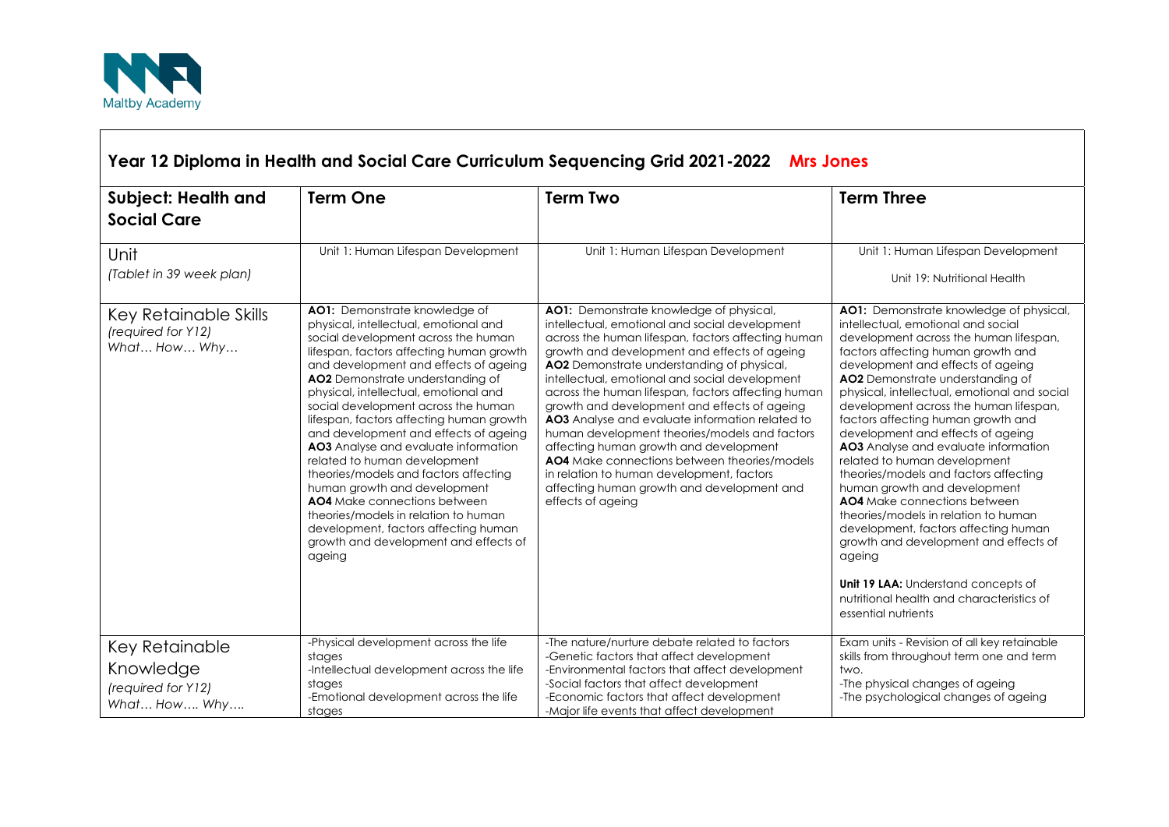

| <b>Subject: Health and</b><br><b>Social Care</b>                  | <b>Term One</b>                                                                                                                                                                                                                                                                                                                                                                                                                                                                                                                                                                                                                                                                                                                 | <b>Term Two</b>                                                                                                                                                                                                                                                                                                                                                                                                                                                                                                                                                                                                                                                                                                            | <b>Term Three</b>                                                                                                                                                                                                                                                                                                                                                                                                                                                                                                                                                                                                                                                                                                                                                                                                                          |
|-------------------------------------------------------------------|---------------------------------------------------------------------------------------------------------------------------------------------------------------------------------------------------------------------------------------------------------------------------------------------------------------------------------------------------------------------------------------------------------------------------------------------------------------------------------------------------------------------------------------------------------------------------------------------------------------------------------------------------------------------------------------------------------------------------------|----------------------------------------------------------------------------------------------------------------------------------------------------------------------------------------------------------------------------------------------------------------------------------------------------------------------------------------------------------------------------------------------------------------------------------------------------------------------------------------------------------------------------------------------------------------------------------------------------------------------------------------------------------------------------------------------------------------------------|--------------------------------------------------------------------------------------------------------------------------------------------------------------------------------------------------------------------------------------------------------------------------------------------------------------------------------------------------------------------------------------------------------------------------------------------------------------------------------------------------------------------------------------------------------------------------------------------------------------------------------------------------------------------------------------------------------------------------------------------------------------------------------------------------------------------------------------------|
| Unit<br>(Tablet in 39 week plan)                                  | Unit 1: Human Lifespan Development                                                                                                                                                                                                                                                                                                                                                                                                                                                                                                                                                                                                                                                                                              | Unit 1: Human Lifespan Development                                                                                                                                                                                                                                                                                                                                                                                                                                                                                                                                                                                                                                                                                         | Unit 1: Human Lifespan Development<br>Unit 19: Nutritional Health                                                                                                                                                                                                                                                                                                                                                                                                                                                                                                                                                                                                                                                                                                                                                                          |
| Key Retainable Skills<br>(required for Y12)<br>What How Why       | AO1: Demonstrate knowledge of<br>physical, intellectual, emotional and<br>social development across the human<br>lifespan, factors affecting human growth<br>and development and effects of ageing<br>AO2 Demonstrate understanding of<br>physical, intellectual, emotional and<br>social development across the human<br>lifespan, factors affecting human growth<br>and development and effects of ageing<br>AO3 Analyse and evaluate information<br>related to human development<br>theories/models and factors affecting<br>human growth and development<br>AO4 Make connections between<br>theories/models in relation to human<br>development, factors affecting human<br>growth and development and effects of<br>ageing | AO1: Demonstrate knowledge of physical,<br>intellectual, emotional and social development<br>across the human lifespan, factors affecting human<br>growth and development and effects of ageing<br>AO2 Demonstrate understanding of physical,<br>intellectual, emotional and social development<br>across the human lifespan, factors affecting human<br>growth and development and effects of ageing<br>AO3 Analyse and evaluate information related to<br>human development theories/models and factors<br>affecting human growth and development<br><b>AO4</b> Make connections between theories/models<br>in relation to human development, factors<br>affecting human growth and development and<br>effects of ageing | AO1: Demonstrate knowledge of physical,<br>intellectual, emotional and social<br>development across the human lifespan,<br>factors affecting human growth and<br>development and effects of ageing<br>AO2 Demonstrate understanding of<br>physical, intellectual, emotional and social<br>development across the human lifespan,<br>factors affecting human growth and<br>development and effects of ageing<br>AO3 Analyse and evaluate information<br>related to human development<br>theories/models and factors affecting<br>human growth and development<br>AO4 Make connections between<br>theories/models in relation to human<br>development, factors affecting human<br>growth and development and effects of<br>ageing<br>Unit 19 LAA: Understand concepts of<br>nutritional health and characteristics of<br>essential nutrients |
| Key Retainable<br>Knowledge<br>(required for Y12)<br>What How Why | -Physical development across the life<br>stages<br>-Intellectual development across the life<br>stages<br>-Emotional development across the life<br>stages                                                                                                                                                                                                                                                                                                                                                                                                                                                                                                                                                                      | -The nature/nurture debate related to factors<br>-Genetic factors that affect development<br>-Environmental factors that affect development<br>-Social factors that affect development<br>-Economic factors that affect development<br>-Major life events that affect development                                                                                                                                                                                                                                                                                                                                                                                                                                          | Exam units - Revision of all key retainable<br>skills from throughout term one and term<br>two.<br>-The physical changes of ageing<br>-The psychological changes of ageing                                                                                                                                                                                                                                                                                                                                                                                                                                                                                                                                                                                                                                                                 |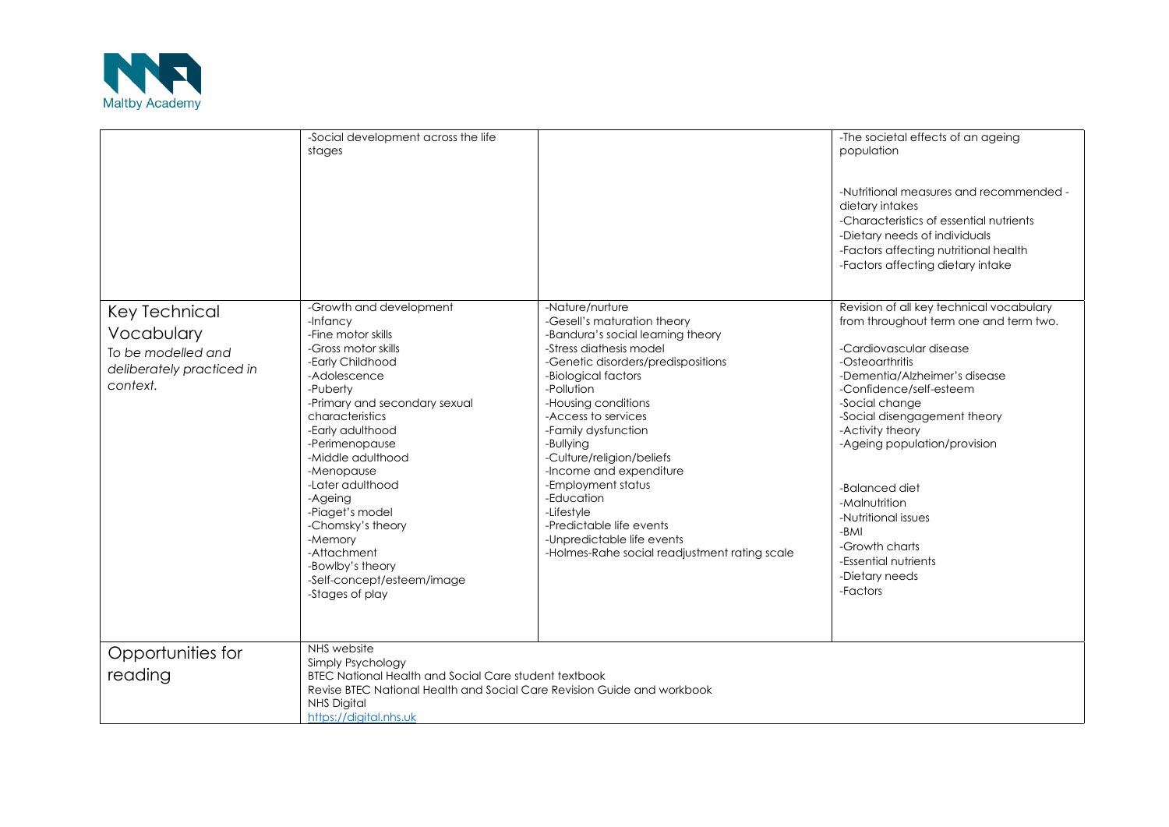

|                                                                                            | -Social development across the life<br>stages                                                                                                                                                                                                                                                                                                                                                                                       |                                                                                                                                                                                                                                                                                                                                                                                                                                                                                                  | -The societal effects of an ageing<br>population<br>-Nutritional measures and recommended -<br>dietary intakes<br>-Characteristics of essential nutrients<br>-Dietary needs of individuals<br>-Factors affecting nutritional health<br>-Factors affecting dietary intake                                                                                                                                                                     |
|--------------------------------------------------------------------------------------------|-------------------------------------------------------------------------------------------------------------------------------------------------------------------------------------------------------------------------------------------------------------------------------------------------------------------------------------------------------------------------------------------------------------------------------------|--------------------------------------------------------------------------------------------------------------------------------------------------------------------------------------------------------------------------------------------------------------------------------------------------------------------------------------------------------------------------------------------------------------------------------------------------------------------------------------------------|----------------------------------------------------------------------------------------------------------------------------------------------------------------------------------------------------------------------------------------------------------------------------------------------------------------------------------------------------------------------------------------------------------------------------------------------|
| Key Technical<br>Vocabulary<br>To be modelled and<br>deliberately practiced in<br>context. | -Growth and development<br>-Infancy<br>-Fine motor skills<br>-Gross motor skills<br>-Early Childhood<br>-Adolescence<br>-Puberty<br>-Primary and secondary sexual<br>characteristics<br>-Early adulthood<br>-Perimenopause<br>-Middle adulthood<br>-Menopause<br>-Later adulthood<br>-Ageing<br>-Piaget's model<br>-Chomsky's theory<br>-Memory<br>-Attachment<br>-Bowlby's theory<br>-Self-concept/esteem/image<br>-Stages of play | -Nature/nurture<br>-Gesell's maturation theory<br>-Bandura's social learning theory<br>-Stress diathesis model<br>-Genetic disorders/predispositions<br>-Biological factors<br>-Pollution<br>-Housing conditions<br>-Access to services<br>-Family dysfunction<br>-Bullying<br>-Culture/religion/beliefs<br>-Income and expenditure<br>-Employment status<br>-Education<br>-Lifestyle<br>-Predictable life events<br>-Unpredictable life events<br>-Holmes-Rahe social readjustment rating scale | Revision of all key technical vocabulary<br>from throughout term one and term two.<br>-Cardiovascular disease<br>-Osteoarthritis<br>-Dementia/Alzheimer's disease<br>-Confidence/self-esteem<br>-Social change<br>-Social disengagement theory<br>-Activity theory<br>-Ageing population/provision<br>-Balanced diet<br>-Malnutrition<br>-Nutritional issues<br>-BMI<br>-Growth charts<br>-Essential nutrients<br>-Dietary needs<br>-Factors |
| Opportunities for<br>reading                                                               | NHS website<br>Simply Psychology<br><b>BTEC National Health and Social Care student textbook</b><br>Revise BTEC National Health and Social Care Revision Guide and workbook<br><b>NHS Digital</b><br>https://digital.nhs.uk                                                                                                                                                                                                         |                                                                                                                                                                                                                                                                                                                                                                                                                                                                                                  |                                                                                                                                                                                                                                                                                                                                                                                                                                              |